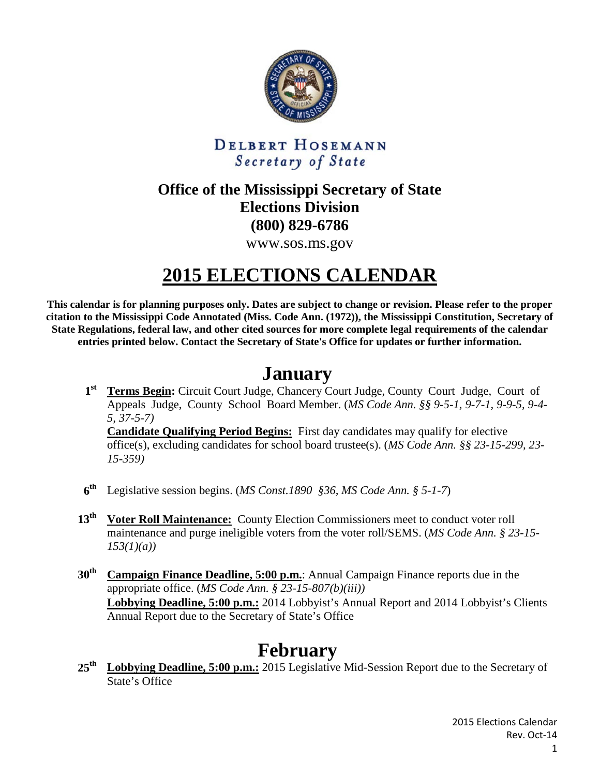

#### DELBERT HOSEMANN Secretary of State

#### **Office of the Mississippi Secretary of State Elections Division (800) 829-6786**

www.sos.ms.gov

# **2015 ELECTIONS CALENDAR**

**This calendar is for planning purposes only. Dates are subject to change or revision. Please refer to the proper citation to the Mississippi Code Annotated (Miss. Code Ann. (1972)), the Mississippi Constitution, Secretary of State Regulations, federal law, and other cited sources for more complete legal requirements of the calendar entries printed below. Contact the Secretary of State's Office for updates or further information.**

## **January**

**1st Terms Begin:** Circuit Court Judge, Chancery Court Judge, County Court Judge, Court of Appeals Judge, County School Board Member. (*MS Code Ann. §§ 9-5-1, 9-7-1, 9-9-5, 9-4- 5, 37-5-7)* **Candidate Qualifying Period Begins:** First day candidates may qualify for elective office(s), excluding candidates for school board trustee(s). (*MS Code Ann. §§ 23-15-299, 23-*

*15-359)*

- **6th** Legislative session begins. (*MS Const.1890 §36, MS Code Ann. § 5-1-7*)
- **13th Voter Roll Maintenance:** County Election Commissioners meet to conduct voter roll maintenance and purge ineligible voters from the voter roll/SEMS. (*MS Code Ann. § 23-15- 153(1)(a))*
- **30th Campaign Finance Deadline, 5:00 p.m.**: Annual Campaign Finance reports due in the appropriate office. (*MS Code Ann. § 23-15-807(b)(iii))* **Lobbying Deadline, 5:00 p.m.:** 2014 Lobbyist's Annual Report and 2014 Lobbyist's Clients Annual Report due to the Secretary of State's Office

## **February**

25<sup>th</sup> Lobbying Deadline, 5:00 p.m.: 2015 Legislative Mid-Session Report due to the Secretary of State's Office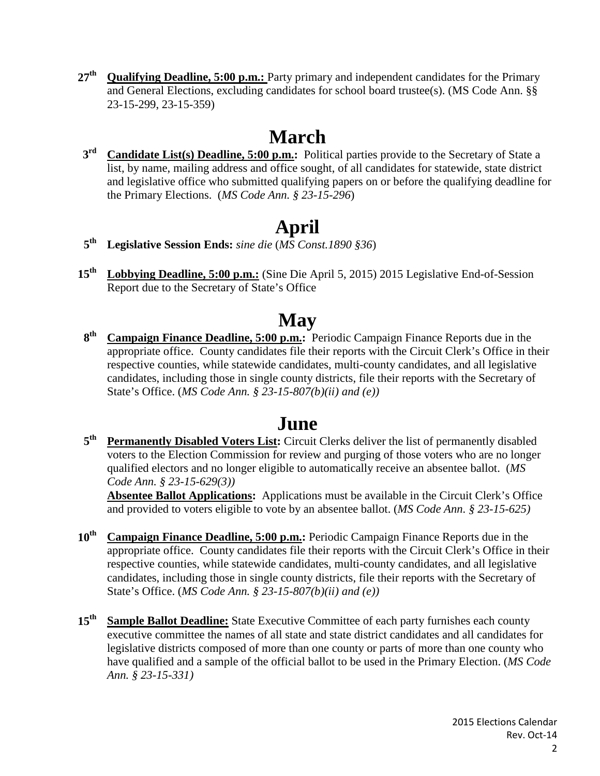**27th Qualifying Deadline, 5:00 p.m.:** Party primary and independent candidates for the Primary and General Elections, excluding candidates for school board trustee(s). (MS Code Ann. §§ 23-15-299, 23-15-359)

# **March**

**3rd Candidate List(s) Deadline, 5:00 p.m.:** Political parties provide to the Secretary of State a list, by name, mailing address and office sought, of all candidates for statewide, state district and legislative office who submitted qualifying papers on or before the qualifying deadline for the Primary Elections. (*MS Code Ann. § 23-15-296*)

# **April**

- **5th Legislative Session Ends:** *sine die* (*MS Const.1890 §36*)
- **15th Lobbying Deadline, 5:00 p.m.:** (Sine Die April 5, 2015) 2015 Legislative End-of-Session Report due to the Secretary of State's Office

# **May**

**8th Campaign Finance Deadline, 5:00 p.m.:** Periodic Campaign Finance Reports due in the appropriate office. County candidates file their reports with the Circuit Clerk's Office in their respective counties, while statewide candidates, multi-county candidates, and all legislative candidates, including those in single county districts, file their reports with the Secretary of State's Office. (*MS Code Ann. § 23-15-807(b)(ii) and (e))*

### **June**

5<sup>th</sup> Permanently Disabled Voters List: Circuit Clerks deliver the list of permanently disabled voters to the Election Commission for review and purging of those voters who are no longer qualified electors and no longer eligible to automatically receive an absentee ballot. (*MS Code Ann. § 23-15-629(3))*

**Absentee Ballot Applications:** Applications must be available in the Circuit Clerk's Office and provided to voters eligible to vote by an absentee ballot. (*MS Code Ann. § 23-15-625)*

- 10<sup>th</sup> Campaign Finance Deadline, 5:00 p.m.: Periodic Campaign Finance Reports due in the appropriate office. County candidates file their reports with the Circuit Clerk's Office in their respective counties, while statewide candidates, multi-county candidates, and all legislative candidates, including those in single county districts, file their reports with the Secretary of State's Office. (*MS Code Ann. § 23-15-807(b)(ii) and (e))*
- 15<sup>th</sup> Sample Ballot Deadline: State Executive Committee of each party furnishes each county executive committee the names of all state and state district candidates and all candidates for legislative districts composed of more than one county or parts of more than one county who have qualified and a sample of the official ballot to be used in the Primary Election. (*MS Code Ann. § 23-15-331)*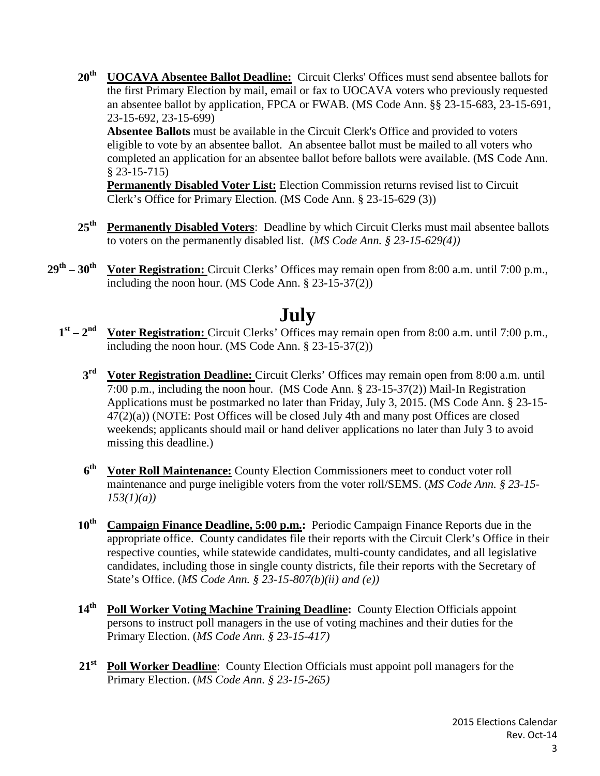20<sup>th</sup> **UOCAVA Absentee Ballot Deadline:** Circuit Clerks' Offices must send absentee ballots for the first Primary Election by mail, email or fax to UOCAVA voters who previously requested an absentee ballot by application, FPCA or FWAB. (MS Code Ann. §§ 23-15-683, 23-15-691, 23-15-692, 23-15-699)

**Absentee Ballots** must be available in the Circuit Clerk's Office and provided to voters eligible to vote by an absentee ballot. An absentee ballot must be mailed to all voters who completed an application for an absentee ballot before ballots were available. (MS Code Ann. § 23-15-715)

**Permanently Disabled Voter List:** Election Commission returns revised list to Circuit Clerk's Office for Primary Election. (MS Code Ann. § 23-15-629 (3))

- **25th Permanently Disabled Voters**: Deadline by which Circuit Clerks must mail absentee ballots to voters on the permanently disabled list. (*MS Code Ann. § 23-15-629(4))*
- 29<sup>th</sup> 30<sup>th</sup> Voter Registration: Circuit Clerks' Offices may remain open from 8:00 a.m. until 7:00 p.m., including the noon hour. (MS Code Ann. § 23-15-37(2))

## **July**

- **1st – 2nd Voter Registration:** Circuit Clerks' Offices may remain open from 8:00 a.m. until 7:00 p.m., including the noon hour. (MS Code Ann. § 23-15-37(2))
	- **3rd Voter Registration Deadline:** Circuit Clerks' Offices may remain open from 8:00 a.m. until 7:00 p.m., including the noon hour. (MS Code Ann. § 23-15-37(2)) Mail-In Registration Applications must be postmarked no later than Friday, July 3, 2015. (MS Code Ann. § 23-15-  $47(2)(a)$ ) (NOTE: Post Offices will be closed July 4th and many post Offices are closed weekends; applicants should mail or hand deliver applications no later than July 3 to avoid missing this deadline.)
	- **6th Voter Roll Maintenance:** County Election Commissioners meet to conduct voter roll maintenance and purge ineligible voters from the voter roll/SEMS. (*MS Code Ann. § 23-15- 153(1)(a))*
	- 10<sup>th</sup> Campaign Finance Deadline, 5:00 p.m.: Periodic Campaign Finance Reports due in the appropriate office. County candidates file their reports with the Circuit Clerk's Office in their respective counties, while statewide candidates, multi-county candidates, and all legislative candidates, including those in single county districts, file their reports with the Secretary of State's Office. (*MS Code Ann. § 23-15-807(b)(ii) and (e))*
	- 14<sup>th</sup> Poll Worker Voting Machine Training Deadline: County Election Officials appoint persons to instruct poll managers in the use of voting machines and their duties for the Primary Election. (*MS Code Ann. § 23-15-417)*
	- 21<sup>st</sup> Poll Worker Deadline: County Election Officials must appoint poll managers for the Primary Election. (*MS Code Ann. § 23-15-265)*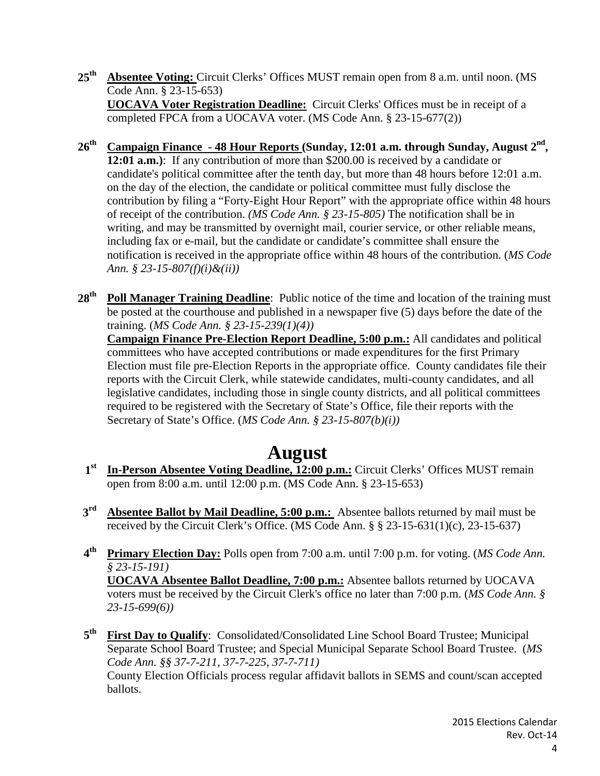- 25<sup>th</sup> Absentee Voting: Circuit Clerks' Offices MUST remain open from 8 a.m. until noon. (MS Code Ann. § 23-15-653) **UOCAVA Voter Registration Deadline:** Circuit Clerks' Offices must be in receipt of a completed FPCA from a UOCAVA voter. (MS Code Ann. § 23-15-677(2))
- **26th Campaign Finance - 48 Hour Reports (Sunday, 12:01 a.m. through Sunday, August 2nd, 12:01 a.m.)**: If any contribution of more than \$200.00 is received by a candidate or candidate's political committee after the tenth day, but more than 48 hours before 12:01 a.m. on the day of the election, the candidate or political committee must fully disclose the contribution by filing a "Forty-Eight Hour Report" with the appropriate office within 48 hours of receipt of the contribution. *(MS Code Ann. § 23-15-805)* The notification shall be in writing, and may be transmitted by overnight mail, courier service, or other reliable means, including fax or e-mail, but the candidate or candidate's committee shall ensure the notification is received in the appropriate office within 48 hours of the contribution. (*MS Code Ann. § 23-15-807(f)(i)&(ii))*
- 28<sup>th</sup> Poll Manager Training Deadline: Public notice of the time and location of the training must be posted at the courthouse and published in a newspaper five (5) days before the date of the training. (*MS Code Ann. § 23-15-239(1)(4))* **Campaign Finance Pre-Election Report Deadline, 5:00 p.m.:** All candidates and political committees who have accepted contributions or made expenditures for the first Primary Election must file pre-Election Reports in the appropriate office. County candidates file their reports with the Circuit Clerk, while statewide candidates, multi-county candidates, and all legislative candidates, including those in single county districts, and all political committees required to be registered with the Secretary of State's Office, file their reports with the Secretary of State's Office. (*MS Code Ann. § 23-15-807(b)(i))*

## **August**

- **1st In-Person Absentee Voting Deadline, 12:00 p.m.:** Circuit Clerks' Offices MUST remain open from 8:00 a.m. until 12:00 p.m. (MS Code Ann. § 23-15-653)
- **3rd Absentee Ballot by Mail Deadline, 5:00 p.m.:** Absentee ballots returned by mail must be received by the Circuit Clerk's Office. (MS Code Ann. § § 23-15-631(1)(c), 23-15-637)
- **4th Primary Election Day:** Polls open from 7:00 a.m. until 7:00 p.m. for voting. (*MS Code Ann. § 23-15-191)* **UOCAVA Absentee Ballot Deadline, 7:00 p.m.:** Absentee ballots returned by UOCAVA voters must be received by the Circuit Clerk's office no later than 7:00 p.m. (*MS Code Ann. § 23-15-699(6))*
- **5th First Day to Qualify**: Consolidated/Consolidated Line School Board Trustee; Municipal Separate School Board Trustee; and Special Municipal Separate School Board Trustee. (*MS Code Ann. §§ 37-7-211, 37-7-225, 37-7-711)*  County Election Officials process regular affidavit ballots in SEMS and count/scan accepted ballots.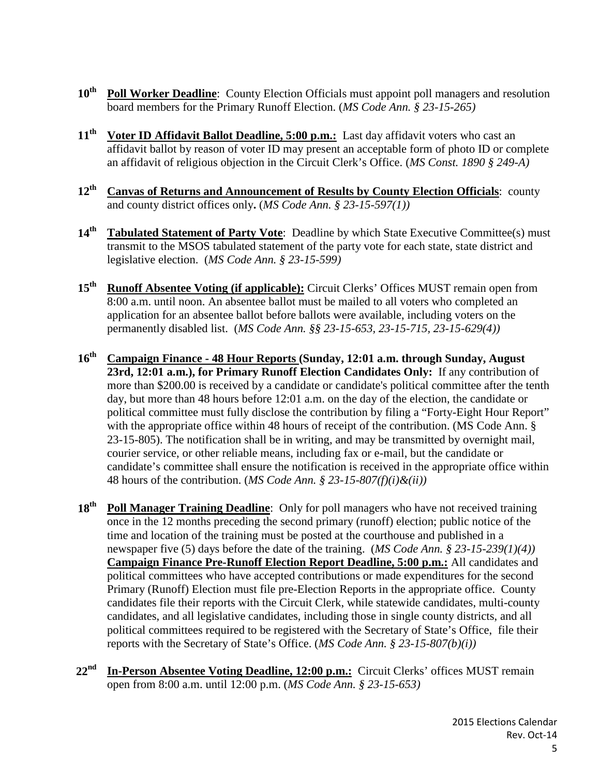- 10<sup>th</sup> Poll Worker Deadline: County Election Officials must appoint poll managers and resolution board members for the Primary Runoff Election. (*MS Code Ann. § 23-15-265)*
- 11<sup>th</sup> Voter ID Affidavit Ballot Deadline, 5:00 p.m.: Last day affidavit voters who cast an affidavit ballot by reason of voter ID may present an acceptable form of photo ID or complete an affidavit of religious objection in the Circuit Clerk's Office. (*MS Const. 1890 § 249-A)*
- 12<sup>th</sup> Canvas of Returns and Announcement of Results by County Election Officials: county and county district offices only**.** (*MS Code Ann. § 23-15-597(1))*
- 14<sup>th</sup> Tabulated Statement of Party Vote: Deadline by which State Executive Committee(s) must transmit to the MSOS tabulated statement of the party vote for each state, state district and legislative election. (*MS Code Ann. § 23-15-599)*
- 15<sup>th</sup> **Runoff Absentee Voting (if applicable):** Circuit Clerks' Offices MUST remain open from 8:00 a.m. until noon. An absentee ballot must be mailed to all voters who completed an application for an absentee ballot before ballots were available, including voters on the permanently disabled list. (*MS Code Ann. §§ 23-15-653, 23-15-715, 23-15-629(4))*
- **16th Campaign Finance - 48 Hour Reports (Sunday, 12:01 a.m. through Sunday, August 23rd, 12:01 a.m.), for Primary Runoff Election Candidates Only:** If any contribution of more than \$200.00 is received by a candidate or candidate's political committee after the tenth day, but more than 48 hours before 12:01 a.m. on the day of the election, the candidate or political committee must fully disclose the contribution by filing a "Forty-Eight Hour Report" with the appropriate office within 48 hours of receipt of the contribution. (MS Code Ann. § 23-15-805). The notification shall be in writing, and may be transmitted by overnight mail, courier service, or other reliable means, including fax or e-mail, but the candidate or candidate's committee shall ensure the notification is received in the appropriate office within 48 hours of the contribution. (*MS Code Ann. § 23-15-807(f)(i)&(ii))*
- **18th Poll Manager Training Deadline**: Only for poll managers who have not received training once in the 12 months preceding the second primary (runoff) election; public notice of the time and location of the training must be posted at the courthouse and published in a newspaper five (5) days before the date of the training. (*MS Code Ann. § 23-15-239(1)(4))*  **Campaign Finance Pre-Runoff Election Report Deadline, 5:00 p.m.:** All candidates and political committees who have accepted contributions or made expenditures for the second Primary (Runoff) Election must file pre-Election Reports in the appropriate office. County candidates file their reports with the Circuit Clerk, while statewide candidates, multi-county candidates, and all legislative candidates, including those in single county districts, and all political committees required to be registered with the Secretary of State's Office, file their reports with the Secretary of State's Office. (*MS Code Ann. § 23-15-807(b)(i))*
- **22nd In-Person Absentee Voting Deadline, 12:00 p.m.:** Circuit Clerks' offices MUST remain open from 8:00 a.m. until 12:00 p.m. (*MS Code Ann. § 23-15-653)*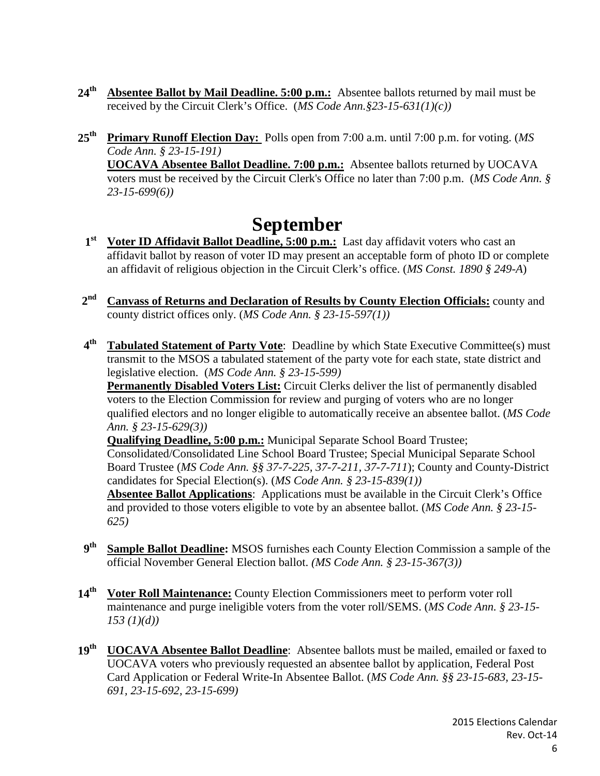- **24th Absentee Ballot by Mail Deadline. 5:00 p.m.:** Absentee ballots returned by mail must be received by the Circuit Clerk's Office. (*MS Code Ann.§23-15-631(1)(c))*
- **25th Primary Runoff Election Day:** Polls open from 7:00 a.m. until 7:00 p.m. for voting. (*MS Code Ann. § 23-15-191)* **UOCAVA Absentee Ballot Deadline. 7:00 p.m.:** Absentee ballots returned by UOCAVA voters must be received by the Circuit Clerk's Office no later than 7:00 p.m. (*MS Code Ann. §*

**September**

*23-15-699(6))*

- **1st Voter ID Affidavit Ballot Deadline, 5:00 p.m.:** Last day affidavit voters who cast an affidavit ballot by reason of voter ID may present an acceptable form of photo ID or complete an affidavit of religious objection in the Circuit Clerk's office. (*MS Const. 1890 § 249-A*)
- **2nd Canvass of Returns and Declaration of Results by County Election Officials:** county and county district offices only. (*MS Code Ann. § 23-15-597(1))*
- **4th Tabulated Statement of Party Vote**: Deadline by which State Executive Committee(s) must transmit to the MSOS a tabulated statement of the party vote for each state, state district and legislative election. (*MS Code Ann. § 23-15-599)*

**Permanently Disabled Voters List:** Circuit Clerks deliver the list of permanently disabled voters to the Election Commission for review and purging of voters who are no longer qualified electors and no longer eligible to automatically receive an absentee ballot. (*MS Code Ann. § 23-15-629(3))*

**Qualifying Deadline, 5:00 p.m.:** Municipal Separate School Board Trustee; Consolidated/Consolidated Line School Board Trustee; Special Municipal Separate School Board Trustee (*MS Code Ann. §§ 37-7-225, 37-7-211, 37-7-711*); County and County-District candidates for Special Election(s). (*MS Code Ann. § 23-15-839(1))* **Absentee Ballot Applications**: Applications must be available in the Circuit Clerk's Office

and provided to those voters eligible to vote by an absentee ballot. (*MS Code Ann. § 23-15- 625)*

- **9th Sample Ballot Deadline:** MSOS furnishes each County Election Commission a sample of the official November General Election ballot. *(MS Code Ann. § 23-15-367(3))*
- 14<sup>th</sup> Voter Roll Maintenance: County Election Commissioners meet to perform voter roll maintenance and purge ineligible voters from the voter roll/SEMS. (*MS Code Ann. § 23-15- 153 (1)(d))*
- **19th UOCAVA Absentee Ballot Deadline**: Absentee ballots must be mailed, emailed or faxed to UOCAVA voters who previously requested an absentee ballot by application, Federal Post Card Application or Federal Write-In Absentee Ballot. (*MS Code Ann. §§ 23-15-683, 23-15- 691, 23-15-692, 23-15-699)*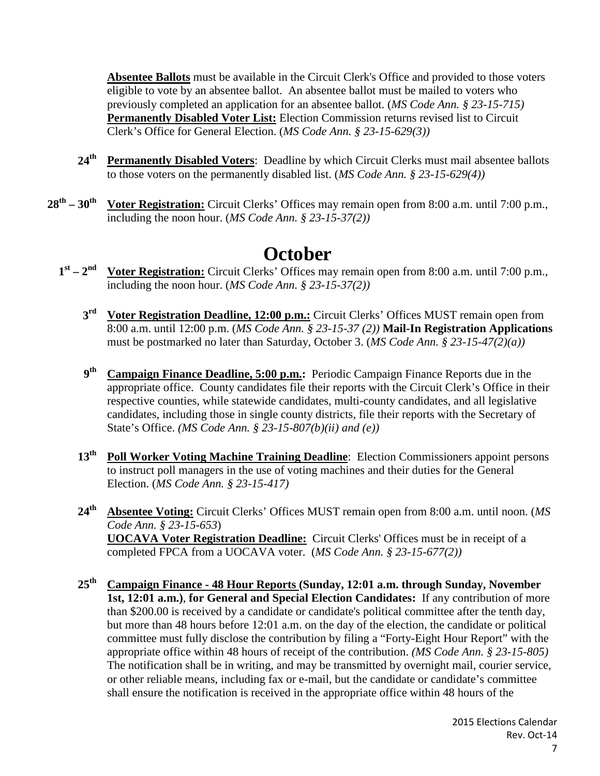**Absentee Ballots** must be available in the Circuit Clerk's Office and provided to those voters eligible to vote by an absentee ballot. An absentee ballot must be mailed to voters who previously completed an application for an absentee ballot. (*MS Code Ann. § 23-15-715)*  **Permanently Disabled Voter List:** Election Commission returns revised list to Circuit Clerk's Office for General Election. (*MS Code Ann. § 23-15-629(3))*

- 24<sup>th</sup> Permanently Disabled Voters: Deadline by which Circuit Clerks must mail absentee ballots to those voters on the permanently disabled list. (*MS Code Ann. § 23-15-629(4))*
- **28th – 30th Voter Registration:** Circuit Clerks' Offices may remain open from 8:00 a.m. until 7:00 p.m., including the noon hour. (*MS Code Ann. § 23-15-37(2))*

# **October**

- **1st – 2nd Voter Registration:** Circuit Clerks' Offices may remain open from 8:00 a.m. until 7:00 p.m., including the noon hour. (*MS Code Ann. § 23-15-37(2))*
	- 3<sup>rd</sup> Voter Registration Deadline, 12:00 p.m.: Circuit Clerks' Offices MUST remain open from 8:00 a.m. until 12:00 p.m. (*MS Code Ann. § 23-15-37 (2))* **Mail-In Registration Applications** must be postmarked no later than Saturday, October 3. (*MS Code Ann. § 23-15-47(2)(a))*
	- **9th Campaign Finance Deadline, 5:00 p.m.:** Periodic Campaign Finance Reports due in the appropriate office. County candidates file their reports with the Circuit Clerk's Office in their respective counties, while statewide candidates, multi-county candidates, and all legislative candidates, including those in single county districts, file their reports with the Secretary of State's Office. *(MS Code Ann. § 23-15-807(b)(ii) and (e))*
	- **13th Poll Worker Voting Machine Training Deadline**: Election Commissioners appoint persons to instruct poll managers in the use of voting machines and their duties for the General Election. (*MS Code Ann. § 23-15-417)*
	- **24th Absentee Voting:** Circuit Clerks' Offices MUST remain open from 8:00 a.m. until noon. (*MS Code Ann. § 23-15-653*) **UOCAVA Voter Registration Deadline:** Circuit Clerks' Offices must be in receipt of a completed FPCA from a UOCAVA voter. (*MS Code Ann. § 23-15-677(2))*
	- **25th Campaign Finance - 48 Hour Reports (Sunday, 12:01 a.m. through Sunday, November 1st, 12:01 a.m.)**, **for General and Special Election Candidates:** If any contribution of more than \$200.00 is received by a candidate or candidate's political committee after the tenth day, but more than 48 hours before 12:01 a.m. on the day of the election, the candidate or political committee must fully disclose the contribution by filing a "Forty-Eight Hour Report" with the appropriate office within 48 hours of receipt of the contribution. *(MS Code Ann. § 23-15-805)*  The notification shall be in writing, and may be transmitted by overnight mail, courier service, or other reliable means, including fax or e-mail, but the candidate or candidate's committee shall ensure the notification is received in the appropriate office within 48 hours of the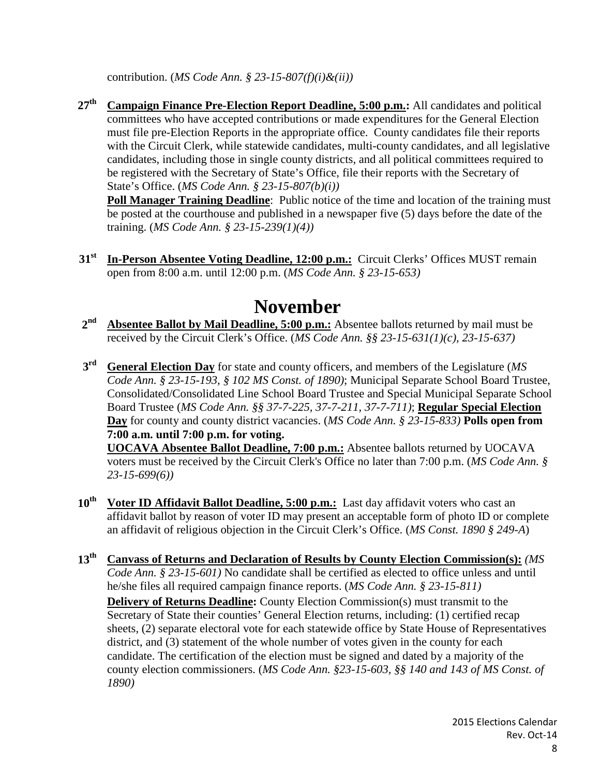contribution. (*MS Code Ann. § 23-15-807(f)(i)&(ii))*

**27th Campaign Finance Pre-Election Report Deadline, 5:00 p.m.:** All candidates and political committees who have accepted contributions or made expenditures for the General Election must file pre-Election Reports in the appropriate office. County candidates file their reports with the Circuit Clerk, while statewide candidates, multi-county candidates, and all legislative candidates, including those in single county districts, and all political committees required to be registered with the Secretary of State's Office, file their reports with the Secretary of State's Office. (*MS Code Ann. § 23-15-807(b)(i))*

**Poll Manager Training Deadline:** Public notice of the time and location of the training must be posted at the courthouse and published in a newspaper five (5) days before the date of the training. (*MS Code Ann. § 23-15-239(1)(4))*

31<sup>st</sup> In-Person Absentee Voting Deadline, 12:00 p.m.: Circuit Clerks' Offices MUST remain open from 8:00 a.m. until 12:00 p.m. (*MS Code Ann. § 23-15-653)*

## **November**

- **2nd Absentee Ballot by Mail Deadline, 5:00 p.m.:** Absentee ballots returned by mail must be received by the Circuit Clerk's Office. (*MS Code Ann. §§ 23-15-631(1)(c), 23-15-637)*
- **3rd General Election Day** for state and county officers, and members of the Legislature (*MS Code Ann. § 23-15-193, § 102 MS Const. of 1890)*; Municipal Separate School Board Trustee, Consolidated/Consolidated Line School Board Trustee and Special Municipal Separate School Board Trustee (*MS Code Ann. §§ 37-7-225, 37-7-211, 37-7-711)*; **Regular Special Election Day** for county and county district vacancies. (*MS Code Ann. § 23-15-833)* **Polls open from 7:00 a.m. until 7:00 p.m. for voting.**

**UOCAVA Absentee Ballot Deadline, 7:00 p.m.:** Absentee ballots returned by UOCAVA voters must be received by the Circuit Clerk's Office no later than 7:00 p.m. (*MS Code Ann. § 23-15-699(6))*

- 10<sup>th</sup> Voter ID Affidavit Ballot Deadline, 5:00 p.m.: Last day affidavit voters who cast an affidavit ballot by reason of voter ID may present an acceptable form of photo ID or complete an affidavit of religious objection in the Circuit Clerk's Office. (*MS Const. 1890 § 249-A*)
- **13th Canvass of Returns and Declaration of Results by County Election Commission(s):** *(MS Code Ann.* § 23-15-601) No candidate shall be certified as elected to office unless and until he/she files all required campaign finance reports. (*MS Code Ann. § 23-15-811)* **Delivery of Returns Deadline:** County Election Commission(s) must transmit to the Secretary of State their counties' General Election returns, including: (1) certified recap sheets, (2) separate electoral vote for each statewide office by State House of Representatives district, and (3) statement of the whole number of votes given in the county for each candidate. The certification of the election must be signed and dated by a majority of the county election commissioners. (*MS Code Ann. §23-15-603, §§ 140 and 143 of MS Const. of 1890)*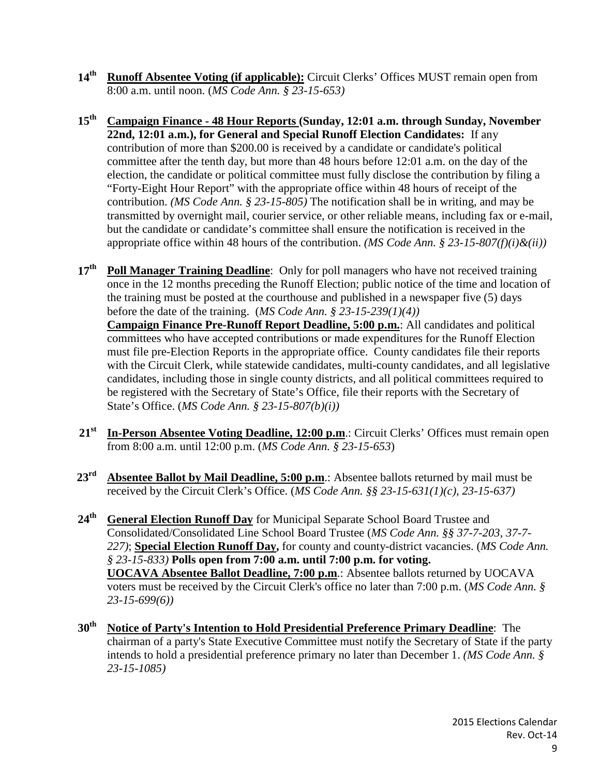- 14<sup>th</sup> **Runoff Absentee Voting (if applicable):** Circuit Clerks' Offices MUST remain open from 8:00 a.m. until noon. (*MS Code Ann. § 23-15-653)*
- **15th Campaign Finance - 48 Hour Reports (Sunday, 12:01 a.m. through Sunday, November 22nd, 12:01 a.m.), for General and Special Runoff Election Candidates:** If any contribution of more than \$200.00 is received by a candidate or candidate's political committee after the tenth day, but more than 48 hours before 12:01 a.m. on the day of the election, the candidate or political committee must fully disclose the contribution by filing a "Forty-Eight Hour Report" with the appropriate office within 48 hours of receipt of the contribution. *(MS Code Ann. § 23-15-805)* The notification shall be in writing, and may be transmitted by overnight mail, courier service, or other reliable means, including fax or e-mail, but the candidate or candidate's committee shall ensure the notification is received in the appropriate office within 48 hours of the contribution. *(MS Code Ann. § 23-15-807(f)(i)&(ii))*
- **17th Poll Manager Training Deadline**: Only for poll managers who have not received training once in the 12 months preceding the Runoff Election; public notice of the time and location of the training must be posted at the courthouse and published in a newspaper five (5) days before the date of the training. (*MS Code Ann. § 23-15-239(1)(4))* **Campaign Finance Pre-Runoff Report Deadline, 5:00 p.m.**: All candidates and political committees who have accepted contributions or made expenditures for the Runoff Election must file pre-Election Reports in the appropriate office. County candidates file their reports with the Circuit Clerk, while statewide candidates, multi-county candidates, and all legislative candidates, including those in single county districts, and all political committees required to be registered with the Secretary of State's Office, file their reports with the Secretary of State's Office. (*MS Code Ann. § 23-15-807(b)(i))*
- **21st In-Person Absentee Voting Deadline, 12:00 p.m**.: Circuit Clerks' Offices must remain open from 8:00 a.m. until 12:00 p.m. (*MS Code Ann. § 23-15-653*)
- 23<sup>rd</sup> Absentee Ballot by Mail Deadline, 5:00 p.m.: Absentee ballots returned by mail must be received by the Circuit Clerk's Office. (*MS Code Ann. §§ 23-15-631(1)(c), 23-15-637)*
- **24th General Election Runoff Day** for Municipal Separate School Board Trustee and Consolidated/Consolidated Line School Board Trustee (*MS Code Ann. §§ 37-7-203, 37-7- 227)*; **Special Election Runoff Day,** for county and county-district vacancies. (*MS Code Ann. § 23-15-833)* **Polls open from 7:00 a.m. until 7:00 p.m. for voting. UOCAVA Absentee Ballot Deadline, 7:00 p.m**.: Absentee ballots returned by UOCAVA voters must be received by the Circuit Clerk's office no later than 7:00 p.m. (*MS Code Ann. § 23-15-699(6))*
- **30th Notice of Party's Intention to Hold Presidential Preference Primary Deadline**: The chairman of a party's State Executive Committee must notify the Secretary of State if the party intends to hold a presidential preference primary no later than December 1. *(MS Code Ann. § 23-15-1085)*